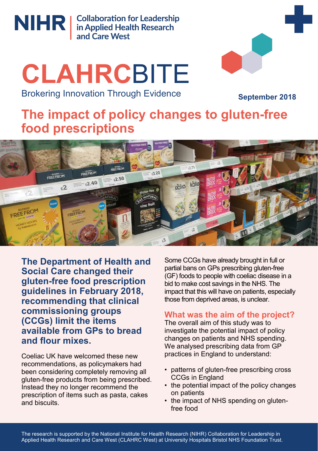

NIHR | Collaboration for Leadership<br>
in Applied Health Research<br>
and Care West

# **CLAHRC**BITE Brokering Innovation Through Evidence



**September 2018**

# **The impact of policy changes to gluten-free food prescriptions**



**The Department of Health and Social Care changed their gluten-free food prescription guidelines in February 2018, recommending that clinical commissioning groups (CCGs) limit the items available from GPs to bread and flour mixes.** 

Coeliac UK have welcomed these new recommendations, as policymakers had been considering completely removing all gluten-free products from being prescribed. Instead they no longer recommend the prescription of items such as pasta, cakes and biscuits.

Some CCGs have already brought in full or partial bans on GPs prescribing gluten-free (GF) foods to people with coeliac disease in a bid to make cost savings in the NHS. The impact that this will have on patients, especially those from deprived areas, is unclear.

# **What was the aim of the project?**

The overall aim of this study was to investigate the potential impact of policy changes on patients and NHS spending. We analysed prescribing data from GP practices in England to understand:

- patterns of gluten-free prescribing cross CCGs in England
- the potential impact of the policy changes on patients
- the impact of NHS spending on glutenfree food